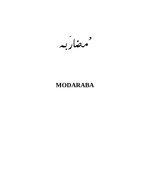مهضاربه

# **MODARABA**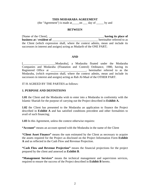#### **THIS MODARABA AGREEMENT**

(the "Agreement") is made at\_\_\_\_\_on \_\_\_ day of \_\_\_\_\_ by and

#### **BETWEEN**

[Name of the Client], \_\_\_\_\_\_\_\_\_\_\_\_\_\_\_\_\_\_\_\_\_\_\_\_\_\_\_\_\_\_\_\_\_\_\_\_\_, **having its place of business at / resident of hereinafter referred to as** the Client (which expression shall, where the context admits, mean and include its successors in interest and assigns) acting as Mudarib of the ONE PART;

#### **AND**

[\_\_\_\_\_\_\_\_\_\_\_\_\_\_\_\_\_\_\_\_\_\_Modaraba], a Modaraba floated under the Modaraba Companies and Modaraba (Floatation and Control) Ordinance, 1980, having its Registered Office at \_\_\_\_\_\_\_\_\_\_\_\_\_\_\_\_\_\_\_\_\_\_\_\_, hereinafter referred to as the Modaraba, (which expression shall, where the context admits, mean and include its successors in interest and assigns) acting as Rab Al-Maal of the OTHER PART.

IT IS AGREED BY THE PARTIES as follows:

#### **1. PURPOSE AND DEFINITIONS**

**1.01** the Client and the Modaraba wish to enter into a Modaraba in conformity with the Islamic Shariah for the purpose of carrying out the Project described in **Exhibit A.**

**1.02** the Client has presented to the Modaraba an application to finance the Project described in **Exhibit A** and has satisfied conditions precedent and other formalities to avail of such financing;

**1.03** In this Agreement, unless the context otherwise requires:

**"Account"** means an account opened with the Modaraba in the name of the Client

**"Client Asset Finance"** means the sum estimated by the Client as necessary to acquire the assets required for the Project as disclosed on the Project Information Form **Exhibit A** and as reflected in the Cash Flow and Revenue Projection.

**"Cash Flow and Revenue Projection"** means the financial projections for the project prepared by the client and annexed as **Exhibit B**.

**"Management Services"** means the technical management and supervision services, required to ensure the success of the Project described in **Exhibit B** hereto.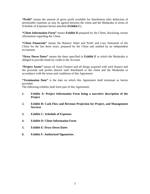**"Profit"** means the amount of gross profit available for distribution after deduction of permissible expenses as may be agreed between the client and the Modaraba in terms of Schedule of Expenses hereto attached (**Exhibit C**).

**"Client Information Form"** means **Exhibit D** prepared by the Client, disclosing certain information regarding the Client.

**"Client Financials"** means the Balance Sheet and Profit and Loss Statement of the Client for the last three years, prepared by the Client and audited by an independent accountant.

**"Draw Down Dates"** means the dates specified in **Exhibit E** at which the Modaraba is obliged to provide funds by credit to the Account

**"Project Assets"** means all Asset Finance and all things acquired with such finance and the proceeds and profits thereof until distributed to the client and the Modaraba in accordance with the terms and conditions of this Agreement

**"Termination Date"** is the date on which this Agreement shall terminate as herein provided.

The following exhibits shall form part of this Agreement:

- **1. Exhibit A: Project Information Form being a narrative description of the Project**
- **2. Exhibit B: Cash Flow and Revenue Projection for Project, and Management Services**
- **3. Exhibit C: Schedule of Expenses**
- **4. Exhibit D: Client Information Form**
- **5. Exhibit E: Draw Down Dates**
- **6. Exhibit F: Authorized Signatories.**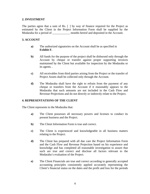### **2. INVESTMENT**

The parties agree that a sum of Rs. [ ] by way of finance required for the Project as estimated by the Client in the Project Information Form shall be supplied by the Modaraba for a period of \_\_\_\_\_\_\_\_\_\_\_\_ months hereof and deposited in the Account.

# **3. ACCOUNT**

- **a)** The authorized signatories on the Account shall be as specified in **Exhibit F.**
- **b)** All funds for the purpose of the project shall be disbursed only through the Account by cheque or transfer against proper supporting invoices maintained by the Client but available for inspection by the Modaraba or its agents. .
- **c)** All receivables from third parties arising from the Project or the transfer of Project Assets shall be collected only through the Account.
- **d)** The Modaraba shall have the right to refrain from the payment of any cheque or transfers from the Account if it reasonably appears to the Modaraba that such amounts are not included in the Cash Flow and Revenue Projections and do not directly or indirectly relate to the Project.

## **4. REPRESENTATIONS OF THE CLIENT**

The Client represents to the Modaraba that:

- **a)** The Client possesses all necessary powers and licenses to conduct its present business and the Project.
- **b)** The Client Information Form is true and correct.
- **c)** The Client is experienced and knowledgeable in all business matters relating to the Project.
- **d)** The Client has prepared with all due care the Project Information Form and the Cash Flow and Revenue Projection based on his experience and knowledge and has completed all reasonable investigation to assure that such are true and correct and disclose all factors relevant to the Modaraba's evaluation of the Project.
- **e)** The Client Financials are true and correct according to generally accepted accounting principles consistently applied accurately representing the Client's financial status on the dates and the profit and loss for the periods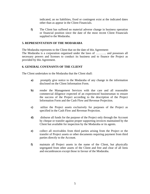indicated, an no liabilities, fixed or contingent exist at the indicated dates other than as appear in the Client Financials.

**f)** The Client has suffered no material adverse change in business operation or financial position since the date of the most recent Client Financials supplied to the Modaraba.

# **5. REPRESENTATION OF THE MODARABA**

The Modaraba represents to the Client that on the date of this Agreement:

The Modaraba is a corporation organised under the laws of ……….. and possesses all necessary powers and licenses to conduct its business and to finance the Project as provided by this Agreement.

# **6. GENERAL COVENANTS OF THE CLIENT**

The Client undertakes to the Modaraba that the Client shall:

- **a)** promptly give notice to the Modaraba of any change in the information disclosed on the Client Information Form.
- **b)** render the Management Services with due care and all reasonable commercial diligence expected of an experienced businessman to ensure the success of the Project according to the description of the Project Information Form and the Cash Flow and Revenue Projection.
- **c)** utilize the Project assets exclusively for purposes of the Project as specified in the Cash Flow and Revenue Projection.
- **d)** disburse all funds for the purpose of the Project only through the Account by cheque or transfer against proper supporting invoices maintained by the Client but available for inspection by the Modaraba or its agents.
- **e)** collect all receivables from third parties arising from the Project or the transfer of Project assets or other documents requiring payment from third parties directly to the Account.
- **f)** maintain all Project assets in the name of the Client, but physically segregated from other assets of the Client and free and clear of all liens and encumbrances except those in favour of the Modaraba.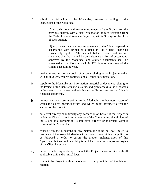**g)** submit the following to the Modaraba, prepared according to the instructions of the Modaraba:

> **(i)** A cash flow and revenue statement of the Project for the previous quarter, with a clear explanation of each variation from the Cash Flow and Revenue Projection, within 30 days of the close of each quarter.

> **(ii)** A balance sheet and income statement of the Client prepared in accordance with principles utilized in the Client Financials consistently applied. The annual balance sheet and income statement shall be audited by an independent firm of accountants approved by the Modaraba, and audited documents shall be presented to the Modaraba within 120 days of the close of the Client's accounting year.

- **h)** maintain true and correct books of account relating to the Project together with all invoices, records contracts and all other documentation.
- **i)** supply to the Modaraba any information, material or document relating to the Project or to Client's financial status, and grant access to the Modaraba or its agents to all books and relating to the Project and to the Client's financial statements.
- **j)** immediately disclose in writing to the Modaraba any business factors of which the Client becomes aware and which might adversely affect the success of the Project.
- **k)** not effect directly or indirectly any transaction on behalf of the Project in which the Client or any family member of the Client or any shareholder of the Client, if a corporation, is interested directly or indirectly without consent of the Modaraba.
- **l)** consult with the Modaraba in any matter, including but not limited to insurance of the assets Modaraba with a view to determining the policy to be followed in order to ensure the proper implementation of this Agreement, but without any obligation of the Client to compromise rights of the Client hereunder.
- **m)** under its sole responsibility, conduct the Project in conformity with all applicable civil and criminal laws.
- **n)** conduct the Project without violation of the principles of the Islamic Shariah.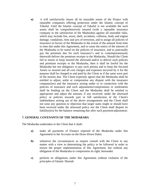**o)** it will satisfactorily insure all its insurable assets of the Project with reputable companies offering protection under the Islamic concept of Takaful. Until the Islamic concept of Takaful is not available the such assets shall be comprehensively insured (with a reputable insurance company to the satisfaction of the Modaraba) against all insurable risks, which may include fire, arson, theft, accidents, collision, body and engine damage, vandalism, riots and acts of terrorism, and to assign all policies of insurance in favour of the Modaraba to the extent of the amount from time to time due under this Agreement, and to cause the notice of the interest of the Modaraba to be noted on the policies of insurance, and to punctually pay the premium due for such insurance's and to contemporaneously therewith deliver the premium receipts to the Modaraba. Should the Client fail to insure or keep insured the aforesaid and/or to deliver such policies and premium receipts to the Modaraba, then it shall be lawful for the Modaraba but not obligatory to pay such premia and to keep the Secured Assets so insured and all cost charges and expenses incurred by it for the purpose shall be charged to and paid by the Client as if the same were part of the monies due. The Client expressly agrees that the Modaraba shall be entitled to adjust, settle or compromise any dispute with the insurance company(ies) and the insurance arising under or in connection with the policies of insurance and such adjustments/compromises or settlements shall be binding on the Client and the Modaraba shall be entitled to appropriate and adjust the amount, if any received, under the aforesaid policy or policies towards part or full satisfaction of the Client's indebtedness arising out of the above arrangements and the Client shall not raise any question or objection that larger sums might or should have been received under the aforesaid policy nor the Client shall dispute its liability(ies) for the balance remaining due after such payment/adjustment;

#### **7. GENERAL COVENANTS OF THE MODARABA**

The Modaraba undertakes to the Client that it shall:

- **a)** make all payments of Finance required of the Modaraba under this Agreement to the Account on the Draw-Down Dates.
- **b**) whenever the circumstances so require consult with the Client in any matter with a view to determining the policy to be followed in order to ensure the proper implementation of this Agreement, but without any obligation of the Modaraba to compromise its right, hereunder.
- **c)** perform its obligations under this Agreement without violation of the principles of Islamic Shariah.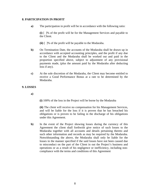### **8. PARTICIPATION IN PROFIT**

**a)** The participation in profit will be in accordance with the following ratio:

**(i)** [ ]% of the profit will be for the Management Services and payable to the Client.

- **(ii)** [ ]% of the profit will be payable to the Modaraba.
- **b)** On Termination Date, the accounts of the Modaraba shall be drawn up in accordance with accepted accounting principles, and the profit if any due to the Client and the Modaraba shall be worked out and paid in the proportion specified above, subject to adjustment of any provisional payments made, (plus the amount paid by the Modaraba after deducting loss if any).
- **c)** At the sole discretion of the Modaraba, the Client may become entitled to receive a Good Performance Bonus at a rate to be determined by the Modaraba.

## **9. LOSSES**

**a)**

**(i)** 100% of the loss in the Project will be borne by the Modaraba

**(ii)** The client will receive no compensation for his Management Services, and will be liable for the loss if it is proven that he has breached his obligations or is proven to be failing in the discharge of his obligations under this Agreement.

**b)** In the event of the Project showing losses during the currency of this Agreement the client shall forthwith give notice of such losses to the Modaraba together with all accounts and details pertaining thereto and such other information and records as may be required by the Modaraba. Notwithstanding the above, the Modaraba shall only be liable for the losses in the manner specified if the said losses have not been caused due to misconduct on the part of the Client in out the Project's business and operations or as a result of his negligence or inefficiency, including noncompliance with the terms and conditions of this Agreement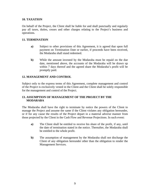## **10. TAXATION**

On behalf of the Project, the Client shall be liable for and shall punctually and regularly pay all taxes, duties, cesses and other charges relating to the Project's business and operations.

## **11. TERMINATION**

- **a)** Subject to other provisions of this Agreement, it is agreed that upon full payment on Termination Date or earlier, if proceeds have been received, the Modaraba shall stand redeemed.
- **b)** While the amount invested by the Modaraba must be repaid on the due date, mentioned above, the accounts of the Modaraba will be drawn up within 7 days thereof and the agreed share the Modaraba's profit will be promptly paid.

## **12. MANAGEMENT AND CONTROL**

Subject only to the express terms of this Agreement, complete management and control of the Project is exclusively vested in the Client and the Client shall be solely responsible for the management and control of the Project.

## **13. ASSUMPTION OF MANAGEMENT OF THE PROJECT BY THE MODARABA**

The Modaraba shall have the right to terminate by notice the powers of the Client to manage the Project and assume the same if the Client violates any obligation hereunder, or if for any cause the results of the Project depart in a material adverse manner from those projected by the Client in the Cash Flow and Revenue Projections. In such event:

- **a)** The Client shall be entitled to receive his share of the profit, if any, until the date of termination stated in the notice. Thereafter, the Modaraba shall be entitled to the whole profit.
- **b)** The assumption of management by the Modaraba shall not discharge the Client of any obligation hereunder other than the obligation to render the Management Services.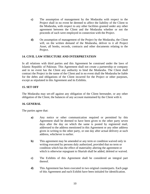- **c)** The assumption of management by the Modaraba with respect to the Project shall in no event be deemed to affect the liability of the Client to the Modaraba, with respect to any other facilities granted under any other agreement between the Client and the Modaraba whether or not the proceeds of such were employed in connection with the Project.
- **d)** On assumption of management of the Project by the Modaraba, the Client will, on the written demand of the Modaraba, deliver to it all Project Asset, all books, records, contracts and other documents relating to the Project.

## **14. CIVIL LAW STRUCTURE AND INTERPRETATION**

In all relations with third parties and this Agreement be construed under the laws of Islamic Republic of Pakistan. This Agreement shall not create a partnership or company and in no event has the Client any authority to bind the Modaraba. The Client shall contract the Project in the name of the Client and in no event shall the Modaraba be liable for the debts and obligations of the Client incurred for the Project or other purposes, except as stipulated in this Agreement and its Exhibits.

## **15. SET OFF**

The Modaraba may set-off against any obligation of the Client hereunder, or any other obligation of the Client, the balances of any account maintained by the Client with it.

## **16. GENERAL**

The parties agree that:

- **a)** Any notice or other communication required or permitted by this Agreement shall be deemed to have been given to the other party seven days after the day on which the same is posted by registered mail, addressed to the address mentioned in this Agreement or any other address given in writing to the other party, or one day after actual delivery at such address, whichever is earlier.
- **b)** This agreement may be amended or any term or condition waived only in writing executed by persons duly authorized, provided that no term or condition which has the effect of materiality altering the agreement or which is otherwise repugnant to Shariah shall be added, deleted or waived.
- **c)** The Exhibits of this Agreement shall be considered an integral part thereof.
- **d)** This Agreement has been executed in two original counterparts. Each page of this Agreement and each Exhibit have been initialed for identification.